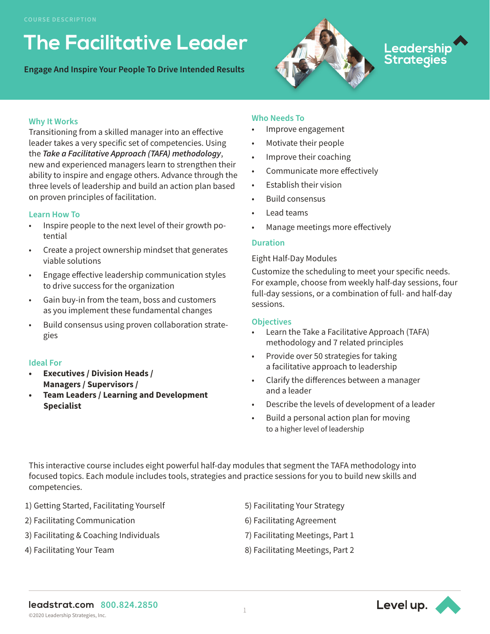## **The Facilitative Leader**

**Engage And Inspire Your People To Drive Intended Results**



# Leadershi<mark>p</mark><br>Strategies

#### **Why It Works**

Transitioning from a skilled manager into an effective leader takes a very specific set of competencies. Using the *Take a Facilitative Approach (TAFA) methodology*, new and experienced managers learn to strengthen their ability to inspire and engage others. Advance through the three levels of leadership and build an action plan based on proven principles of facilitation.

#### **Learn How To**

- Inspire people to the next level of their growth potential
- Create a project ownership mindset that generates viable solutions
- Engage effective leadership communication styles to drive success for the organization
- Gain buy-in from the team, boss and customers as you implement these fundamental changes
- Build consensus using proven collaboration strategies

#### **Ideal For**

- **• Executives / Division Heads / Managers / Supervisors /**
- **• Team Leaders / Learning and Development Specialist**

#### **Who Needs To**

- Improve engagement
- Motivate their people
- Improve their coaching
- Communicate more effectively
- Establish their vision
- Build consensus
- Lead teams
- Manage meetings more effectively

#### **Duration**

#### Eight Half-Day Modules

Customize the scheduling to meet your specific needs. For example, choose from weekly half-day sessions, four full-day sessions, or a combination of full- and half-day sessions.

#### **Objectives**

- Learn the Take a Facilitative Approach (TAFA) methodology and 7 related principles
- Provide over 50 strategies for taking a facilitative approach to leadership
- Clarify the differences between a manager and a leader
- Describe the levels of development of a leader
- Build a personal action plan for moving to a higher level of leadership

This interactive course includes eight powerful half-day modules that segment the TAFA methodology into focused topics. Each module includes tools, strategies and practice sessions for you to build new skills and competencies.

- 1) Getting Started, Facilitating Yourself
- 2) Facilitating Communication
- 3) Facilitating & Coaching Individuals
- 4) Facilitating Your Team
- 5) Facilitating Your Strategy
- 6) Facilitating Agreement
- 7) Facilitating Meetings, Part 1
- 8) Facilitating Meetings, Part 2